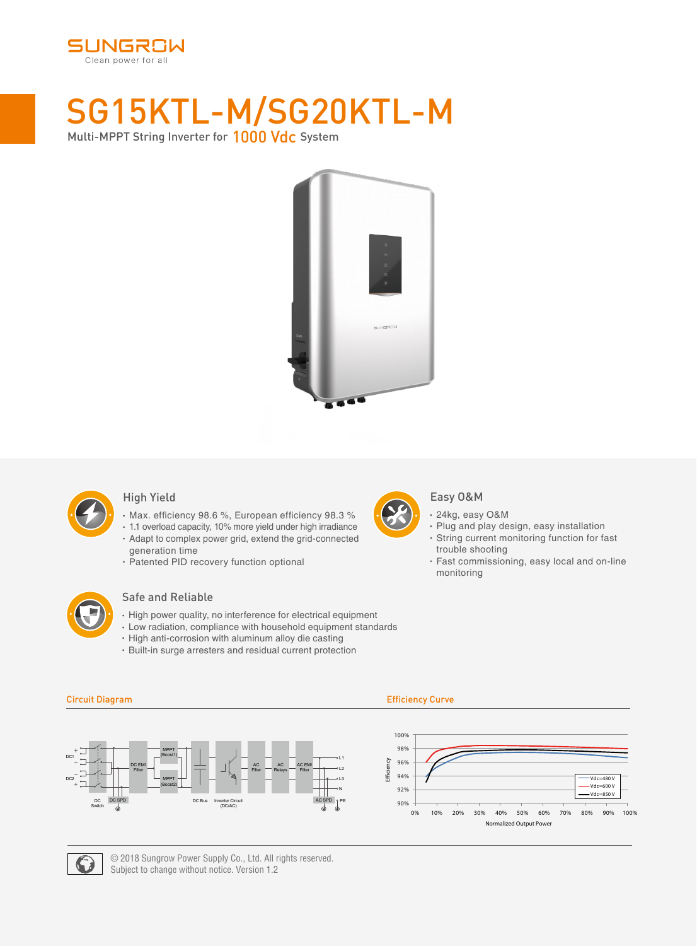

# SG15KTL-M/SG20KTL-M Multi-MPPT String Inverter for 1000 Vdc System



### High Yield

- Max. efficiency 98.6 %, European efficiency 98.3 %
- 1.1 overload capacity, 10% more yield under high irradiance Adapt to complex power grid, extend the grid-connected generation time
- Patented PID recovery function optional



### Safe and Reliable

- $\cdot$  High power quality, no interference for electrical equipment
- Low radiation, compliance with household equipment standards
- High anti-corrosion with aluminum alloy die casting
- Built-in surge arresters and residual current protection
	-



### Easy O&M

- 24kg, easy O&M
- Plug and play design, easy installation
- String current monitoring function for fast trouble shooting
- Fast commissioning, easy local and on-line monitoring



Efficiency 90% 92% 94% 96% 98% 100% Normalized Output Power 0% 10% 20% 30% 40% 50% 60% 70% 80% 90% 100%  $Vdc = 480V$ Vdc=600 V Vdc=850 V



DC2

### Circuit Diagram Efficiency Curve